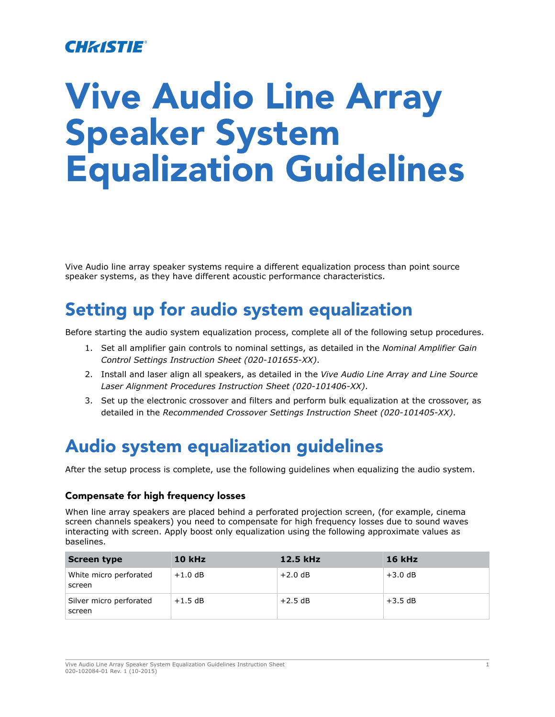### CHASTIE

# Vive Audio Line Array Speaker System Equalization Guidelines

Vive Audio line array speaker systems require a different equalization process than point source speaker systems, as they have different acoustic performance characteristics.

## Setting up for audio system equalization

Before starting the audio system equalization process, complete all of the following setup procedures.

- 1. Set all amplifier gain controls to nominal settings, as detailed in the *Nominal Amplifier Gain Control Settings Instruction Sheet (020-101655-XX)*.
- 2. Install and laser align all speakers, as detailed in the *Vive Audio Line Array and Line Source Laser Alignment Procedures Instruction Sheet (020-101406-XX)*.
- 3. Set up the electronic crossover and filters and perform bulk equalization at the crossover, as detailed in the *Recommended Crossover Settings Instruction Sheet (020-101405-XX)*.

## Audio system equalization guidelines

After the setup process is complete, use the following guidelines when equalizing the audio system.

#### Compensate for high frequency losses

When line array speakers are placed behind a perforated projection screen, (for example, cinema screen channels speakers) you need to compensate for high frequency losses due to sound waves interacting with screen. Apply boost only equalization using the following approximate values as baselines.

| Screen type                       | <b>10 kHz</b> | 12.5 kHz  | <b>16 kHz</b> |
|-----------------------------------|---------------|-----------|---------------|
| White micro perforated<br>screen  | $+1.0$ dB     | $+2.0$ dB | $+3.0$ dB     |
| Silver micro perforated<br>screen | $+1.5$ dB     | $+2.5$ dB | $+3.5$ dB     |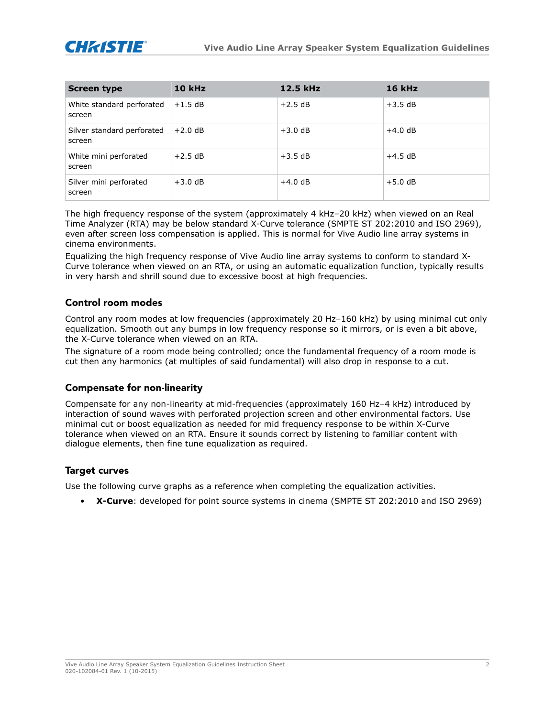

| Screen type                          | <b>10 kHz</b> | 12.5 kHz  | <b>16 kHz</b> |
|--------------------------------------|---------------|-----------|---------------|
| White standard perforated<br>screen  | $+1.5$ dB     | $+2.5$ dB | $+3.5$ dB     |
| Silver standard perforated<br>screen | $+2.0$ dB     | $+3.0$ dB | $+4.0$ dB     |
| White mini perforated<br>screen      | $+2.5$ dB     | $+3.5$ dB | $+4.5$ dB     |
| Silver mini perforated<br>screen     | $+3.0$ dB     | $+4.0$ dB | $+5.0$ dB     |

The high frequency response of the system (approximately 4 kHz–20 kHz) when viewed on an Real Time Analyzer (RTA) may be below standard X-Curve tolerance (SMPTE ST 202:2010 and ISO 2969), even after screen loss compensation is applied. This is normal for Vive Audio line array systems in cinema environments.

Equalizing the high frequency response of Vive Audio line array systems to conform to standard X-Curve tolerance when viewed on an RTA, or using an automatic equalization function, typically results in very harsh and shrill sound due to excessive boost at high frequencies.

#### Control room modes

Control any room modes at low frequencies (approximately 20 Hz–160 kHz) by using minimal cut only equalization. Smooth out any bumps in low frequency response so it mirrors, or is even a bit above, the X-Curve tolerance when viewed on an RTA.

The signature of a room mode being controlled; once the fundamental frequency of a room mode is cut then any harmonics (at multiples of said fundamental) will also drop in response to a cut.

#### Compensate for non-linearity

Compensate for any non-linearity at mid-frequencies (approximately 160 Hz–4 kHz) introduced by interaction of sound waves with perforated projection screen and other environmental factors. Use minimal cut or boost equalization as needed for mid frequency response to be within X-Curve tolerance when viewed on an RTA. Ensure it sounds correct by listening to familiar content with dialogue elements, then fine tune equalization as required.

#### **Target curves**

Use the following curve graphs as a reference when completing the equalization activities.

• **X-Curve**: developed for point source systems in cinema (SMPTE ST 202:2010 and ISO 2969)